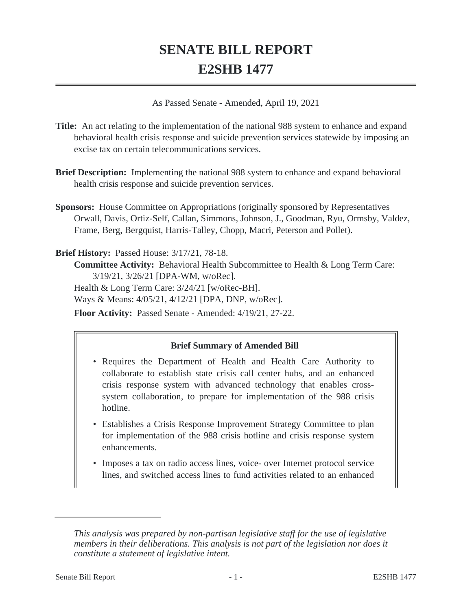# **SENATE BILL REPORT E2SHB 1477**

As Passed Senate - Amended, April 19, 2021

- **Title:** An act relating to the implementation of the national 988 system to enhance and expand behavioral health crisis response and suicide prevention services statewide by imposing an excise tax on certain telecommunications services.
- **Brief Description:** Implementing the national 988 system to enhance and expand behavioral health crisis response and suicide prevention services.
- **Sponsors:** House Committee on Appropriations (originally sponsored by Representatives Orwall, Davis, Ortiz-Self, Callan, Simmons, Johnson, J., Goodman, Ryu, Ormsby, Valdez, Frame, Berg, Bergquist, Harris-Talley, Chopp, Macri, Peterson and Pollet).

**Brief History:** Passed House: 3/17/21, 78-18.

**Committee Activity:** Behavioral Health Subcommittee to Health & Long Term Care: 3/19/21, 3/26/21 [DPA-WM, w/oRec]. Health & Long Term Care: 3/24/21 [w/oRec-BH]. Ways & Means: 4/05/21, 4/12/21 [DPA, DNP, w/oRec].

**Floor Activity:** Passed Senate - Amended: 4/19/21, 27-22.

## **Brief Summary of Amended Bill**

- Requires the Department of Health and Health Care Authority to collaborate to establish state crisis call center hubs, and an enhanced crisis response system with advanced technology that enables crosssystem collaboration, to prepare for implementation of the 988 crisis hotline.
- Establishes a Crisis Response Improvement Strategy Committee to plan for implementation of the 988 crisis hotline and crisis response system enhancements.
- Imposes a tax on radio access lines, voice- over Internet protocol service lines, and switched access lines to fund activities related to an enhanced

*This analysis was prepared by non-partisan legislative staff for the use of legislative members in their deliberations. This analysis is not part of the legislation nor does it constitute a statement of legislative intent.*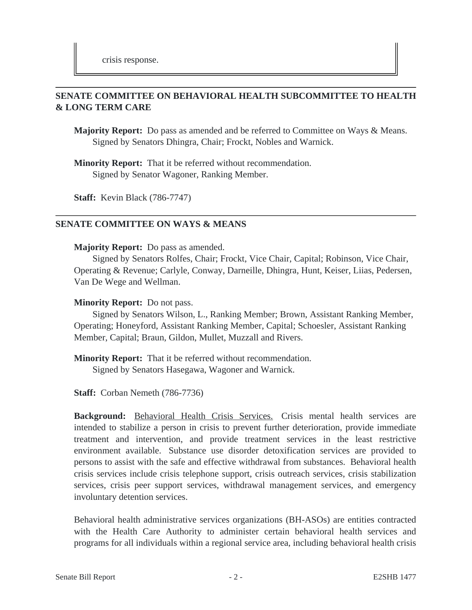# **SENATE COMMITTEE ON BEHAVIORAL HEALTH SUBCOMMITTEE TO HEALTH & LONG TERM CARE**

**Majority Report:** Do pass as amended and be referred to Committee on Ways & Means. Signed by Senators Dhingra, Chair; Frockt, Nobles and Warnick.

**Minority Report:** That it be referred without recommendation. Signed by Senator Wagoner, Ranking Member.

**Staff:** Kevin Black (786-7747)

## **SENATE COMMITTEE ON WAYS & MEANS**

#### **Majority Report:** Do pass as amended.

Signed by Senators Rolfes, Chair; Frockt, Vice Chair, Capital; Robinson, Vice Chair, Operating & Revenue; Carlyle, Conway, Darneille, Dhingra, Hunt, Keiser, Liias, Pedersen, Van De Wege and Wellman.

#### **Minority Report:** Do not pass.

Signed by Senators Wilson, L., Ranking Member; Brown, Assistant Ranking Member, Operating; Honeyford, Assistant Ranking Member, Capital; Schoesler, Assistant Ranking Member, Capital; Braun, Gildon, Mullet, Muzzall and Rivers.

**Minority Report:** That it be referred without recommendation.

Signed by Senators Hasegawa, Wagoner and Warnick.

**Staff:** Corban Nemeth (786-7736)

**Background:** Behavioral Health Crisis Services. Crisis mental health services are intended to stabilize a person in crisis to prevent further deterioration, provide immediate treatment and intervention, and provide treatment services in the least restrictive environment available. Substance use disorder detoxification services are provided to persons to assist with the safe and effective withdrawal from substances. Behavioral health crisis services include crisis telephone support, crisis outreach services, crisis stabilization services, crisis peer support services, withdrawal management services, and emergency involuntary detention services.

Behavioral health administrative services organizations (BH-ASOs) are entities contracted with the Health Care Authority to administer certain behavioral health services and programs for all individuals within a regional service area, including behavioral health crisis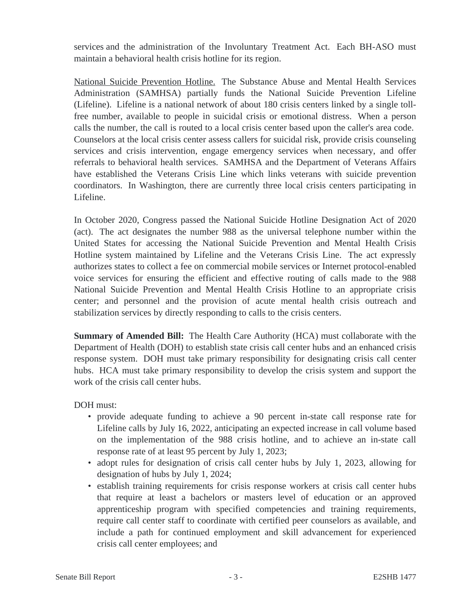services and the administration of the Involuntary Treatment Act. Each BH-ASO must maintain a behavioral health crisis hotline for its region.

National Suicide Prevention Hotline. The Substance Abuse and Mental Health Services Administration (SAMHSA) partially funds the National Suicide Prevention Lifeline (Lifeline). Lifeline is a national network of about 180 crisis centers linked by a single tollfree number, available to people in suicidal crisis or emotional distress. When a person calls the number, the call is routed to a local crisis center based upon the caller's area code. Counselors at the local crisis center assess callers for suicidal risk, provide crisis counseling services and crisis intervention, engage emergency services when necessary, and offer referrals to behavioral health services. SAMHSA and the Department of Veterans Affairs have established the Veterans Crisis Line which links veterans with suicide prevention coordinators. In Washington, there are currently three local crisis centers participating in Lifeline.

In October 2020, Congress passed the National Suicide Hotline Designation Act of 2020 (act). The act designates the number 988 as the universal telephone number within the United States for accessing the National Suicide Prevention and Mental Health Crisis Hotline system maintained by Lifeline and the Veterans Crisis Line. The act expressly authorizes states to collect a fee on commercial mobile services or Internet protocol-enabled voice services for ensuring the efficient and effective routing of calls made to the 988 National Suicide Prevention and Mental Health Crisis Hotline to an appropriate crisis center; and personnel and the provision of acute mental health crisis outreach and stabilization services by directly responding to calls to the crisis centers.

**Summary of Amended Bill:** The Health Care Authority (HCA) must collaborate with the Department of Health (DOH) to establish state crisis call center hubs and an enhanced crisis response system. DOH must take primary responsibility for designating crisis call center hubs. HCA must take primary responsibility to develop the crisis system and support the work of the crisis call center hubs.

DOH must:

- provide adequate funding to achieve a 90 percent in-state call response rate for Lifeline calls by July 16, 2022, anticipating an expected increase in call volume based on the implementation of the 988 crisis hotline, and to achieve an in-state call response rate of at least 95 percent by July 1, 2023;
- adopt rules for designation of crisis call center hubs by July 1, 2023, allowing for designation of hubs by July 1, 2024;
- establish training requirements for crisis response workers at crisis call center hubs that require at least a bachelors or masters level of education or an approved apprenticeship program with specified competencies and training requirements, require call center staff to coordinate with certified peer counselors as available, and include a path for continued employment and skill advancement for experienced crisis call center employees; and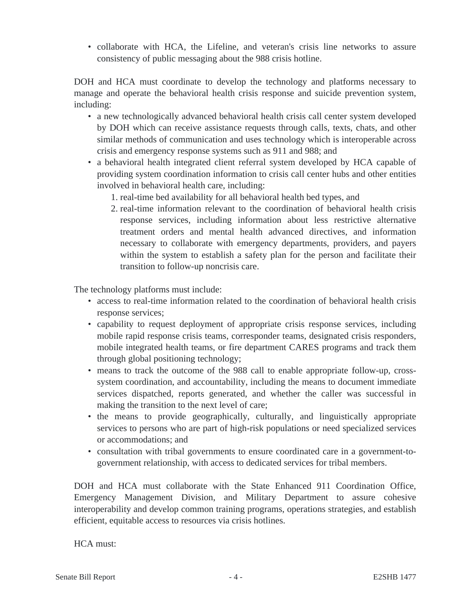• collaborate with HCA, the Lifeline, and veteran's crisis line networks to assure consistency of public messaging about the 988 crisis hotline.

DOH and HCA must coordinate to develop the technology and platforms necessary to manage and operate the behavioral health crisis response and suicide prevention system, including:

- a new technologically advanced behavioral health crisis call center system developed by DOH which can receive assistance requests through calls, texts, chats, and other similar methods of communication and uses technology which is interoperable across crisis and emergency response systems such as 911 and 988; and
- a behavioral health integrated client referral system developed by HCA capable of providing system coordination information to crisis call center hubs and other entities involved in behavioral health care, including:
	- 1. real-time bed availability for all behavioral health bed types, and
	- 2. real-time information relevant to the coordination of behavioral health crisis response services, including information about less restrictive alternative treatment orders and mental health advanced directives, and information necessary to collaborate with emergency departments, providers, and payers within the system to establish a safety plan for the person and facilitate their transition to follow-up noncrisis care.

The technology platforms must include:

- access to real-time information related to the coordination of behavioral health crisis response services;
- capability to request deployment of appropriate crisis response services, including mobile rapid response crisis teams, corresponder teams, designated crisis responders, mobile integrated health teams, or fire department CARES programs and track them through global positioning technology;
- means to track the outcome of the 988 call to enable appropriate follow-up, crosssystem coordination, and accountability, including the means to document immediate services dispatched, reports generated, and whether the caller was successful in making the transition to the next level of care;
- the means to provide geographically, culturally, and linguistically appropriate services to persons who are part of high-risk populations or need specialized services or accommodations; and
- consultation with tribal governments to ensure coordinated care in a government-togovernment relationship, with access to dedicated services for tribal members.

DOH and HCA must collaborate with the State Enhanced 911 Coordination Office, Emergency Management Division, and Military Department to assure cohesive interoperability and develop common training programs, operations strategies, and establish efficient, equitable access to resources via crisis hotlines.

HCA must: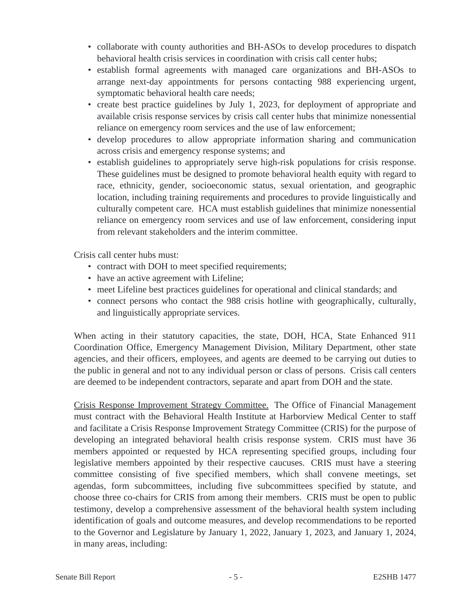- collaborate with county authorities and BH-ASOs to develop procedures to dispatch behavioral health crisis services in coordination with crisis call center hubs;
- establish formal agreements with managed care organizations and BH-ASOs to arrange next-day appointments for persons contacting 988 experiencing urgent, symptomatic behavioral health care needs;
- create best practice guidelines by July 1, 2023, for deployment of appropriate and available crisis response services by crisis call center hubs that minimize nonessential reliance on emergency room services and the use of law enforcement;
- develop procedures to allow appropriate information sharing and communication across crisis and emergency response systems; and
- establish guidelines to appropriately serve high-risk populations for crisis response. These guidelines must be designed to promote behavioral health equity with regard to race, ethnicity, gender, socioeconomic status, sexual orientation, and geographic location, including training requirements and procedures to provide linguistically and culturally competent care. HCA must establish guidelines that minimize nonessential reliance on emergency room services and use of law enforcement, considering input from relevant stakeholders and the interim committee.

Crisis call center hubs must:

- contract with DOH to meet specified requirements;
- have an active agreement with Lifeline;
- meet Lifeline best practices guidelines for operational and clinical standards; and
- connect persons who contact the 988 crisis hotline with geographically, culturally, and linguistically appropriate services.

When acting in their statutory capacities, the state, DOH, HCA, State Enhanced 911 Coordination Office, Emergency Management Division, Military Department, other state agencies, and their officers, employees, and agents are deemed to be carrying out duties to the public in general and not to any individual person or class of persons. Crisis call centers are deemed to be independent contractors, separate and apart from DOH and the state.

Crisis Response Improvement Strategy Committee. The Office of Financial Management must contract with the Behavioral Health Institute at Harborview Medical Center to staff and facilitate a Crisis Response Improvement Strategy Committee (CRIS) for the purpose of developing an integrated behavioral health crisis response system. CRIS must have 36 members appointed or requested by HCA representing specified groups, including four legislative members appointed by their respective caucuses. CRIS must have a steering committee consisting of five specified members, which shall convene meetings, set agendas, form subcommittees, including five subcommittees specified by statute, and choose three co-chairs for CRIS from among their members. CRIS must be open to public testimony, develop a comprehensive assessment of the behavioral health system including identification of goals and outcome measures, and develop recommendations to be reported to the Governor and Legislature by January 1, 2022, January 1, 2023, and January 1, 2024, in many areas, including: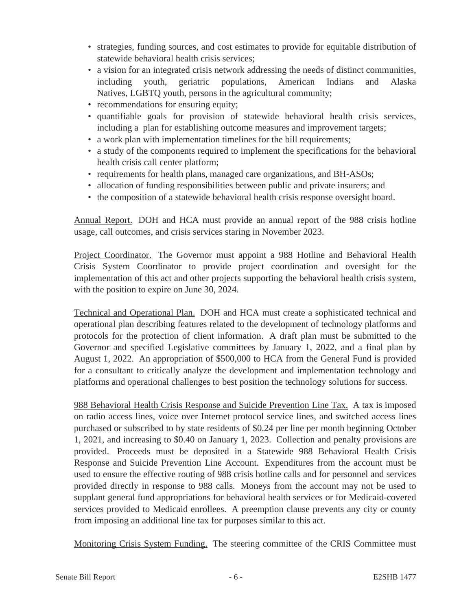- strategies, funding sources, and cost estimates to provide for equitable distribution of statewide behavioral health crisis services;
- a vision for an integrated crisis network addressing the needs of distinct communities, including youth, geriatric populations, American Indians and Alaska Natives, LGBTQ youth, persons in the agricultural community;
- recommendations for ensuring equity;
- quantifiable goals for provision of statewide behavioral health crisis services, including a plan for establishing outcome measures and improvement targets;
- a work plan with implementation timelines for the bill requirements;
- a study of the components required to implement the specifications for the behavioral health crisis call center platform;
- requirements for health plans, managed care organizations, and BH-ASOs;
- allocation of funding responsibilities between public and private insurers; and
- the composition of a statewide behavioral health crisis response oversight board.

Annual Report. DOH and HCA must provide an annual report of the 988 crisis hotline usage, call outcomes, and crisis services staring in November 2023.

Project Coordinator. The Governor must appoint a 988 Hotline and Behavioral Health Crisis System Coordinator to provide project coordination and oversight for the implementation of this act and other projects supporting the behavioral health crisis system, with the position to expire on June 30, 2024.

Technical and Operational Plan. DOH and HCA must create a sophisticated technical and operational plan describing features related to the development of technology platforms and protocols for the protection of client information. A draft plan must be submitted to the Governor and specified Legislative committees by January 1, 2022, and a final plan by August 1, 2022. An appropriation of \$500,000 to HCA from the General Fund is provided for a consultant to critically analyze the development and implementation technology and platforms and operational challenges to best position the technology solutions for success.

988 Behavioral Health Crisis Response and Suicide Prevention Line Tax. A tax is imposed on radio access lines, voice over Internet protocol service lines, and switched access lines purchased or subscribed to by state residents of \$0.24 per line per month beginning October 1, 2021, and increasing to \$0.40 on January 1, 2023. Collection and penalty provisions are provided. Proceeds must be deposited in a Statewide 988 Behavioral Health Crisis Response and Suicide Prevention Line Account. Expenditures from the account must be used to ensure the effective routing of 988 crisis hotline calls and for personnel and services provided directly in response to 988 calls. Moneys from the account may not be used to supplant general fund appropriations for behavioral health services or for Medicaid-covered services provided to Medicaid enrollees. A preemption clause prevents any city or county from imposing an additional line tax for purposes similar to this act.

Monitoring Crisis System Funding. The steering committee of the CRIS Committee must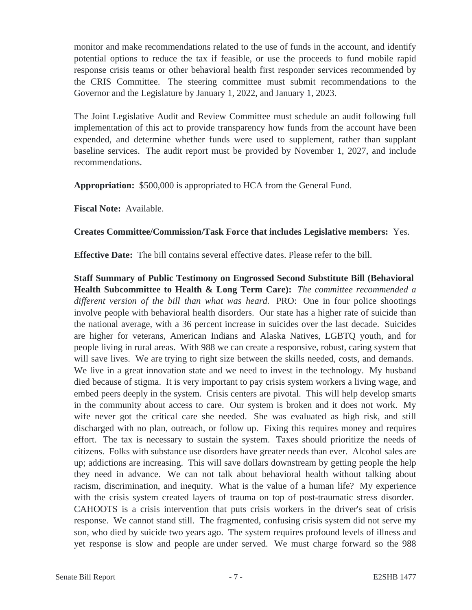monitor and make recommendations related to the use of funds in the account, and identify potential options to reduce the tax if feasible, or use the proceeds to fund mobile rapid response crisis teams or other behavioral health first responder services recommended by the CRIS Committee. The steering committee must submit recommendations to the Governor and the Legislature by January 1, 2022, and January 1, 2023.

The Joint Legislative Audit and Review Committee must schedule an audit following full implementation of this act to provide transparency how funds from the account have been expended, and determine whether funds were used to supplement, rather than supplant baseline services. The audit report must be provided by November 1, 2027, and include recommendations.

**Appropriation:** \$500,000 is appropriated to HCA from the General Fund.

**Fiscal Note:** Available.

## **Creates Committee/Commission/Task Force that includes Legislative members:** Yes.

**Effective Date:** The bill contains several effective dates. Please refer to the bill.

**Staff Summary of Public Testimony on Engrossed Second Substitute Bill (Behavioral Health Subcommittee to Health & Long Term Care):** *The committee recommended a different version of the bill than what was heard.* PRO: One in four police shootings involve people with behavioral health disorders. Our state has a higher rate of suicide than the national average, with a 36 percent increase in suicides over the last decade. Suicides are higher for veterans, American Indians and Alaska Natives, LGBTQ youth, and for people living in rural areas. With 988 we can create a responsive, robust, caring system that will save lives. We are trying to right size between the skills needed, costs, and demands. We live in a great innovation state and we need to invest in the technology. My husband died because of stigma. It is very important to pay crisis system workers a living wage, and embed peers deeply in the system. Crisis centers are pivotal. This will help develop smarts in the community about access to care. Our system is broken and it does not work. My wife never got the critical care she needed. She was evaluated as high risk, and still discharged with no plan, outreach, or follow up. Fixing this requires money and requires effort. The tax is necessary to sustain the system. Taxes should prioritize the needs of citizens. Folks with substance use disorders have greater needs than ever. Alcohol sales are up; addictions are increasing. This will save dollars downstream by getting people the help they need in advance. We can not talk about behavioral health without talking about racism, discrimination, and inequity. What is the value of a human life? My experience with the crisis system created layers of trauma on top of post-traumatic stress disorder. CAHOOTS is a crisis intervention that puts crisis workers in the driver's seat of crisis response. We cannot stand still. The fragmented, confusing crisis system did not serve my son, who died by suicide two years ago. The system requires profound levels of illness and yet response is slow and people are under served. We must charge forward so the 988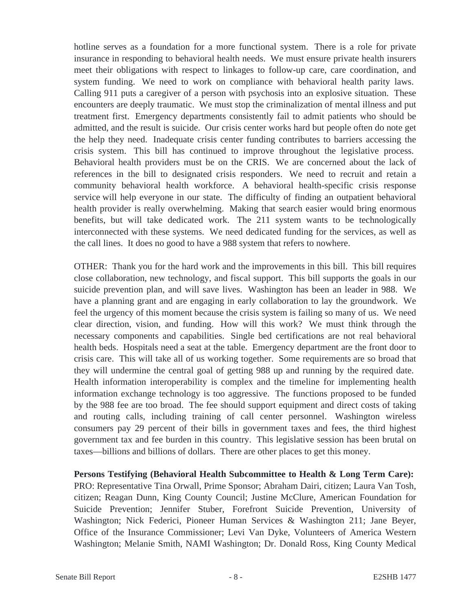hotline serves as a foundation for a more functional system. There is a role for private insurance in responding to behavioral health needs. We must ensure private health insurers meet their obligations with respect to linkages to follow-up care, care coordination, and system funding. We need to work on compliance with behavioral health parity laws. Calling 911 puts a caregiver of a person with psychosis into an explosive situation. These encounters are deeply traumatic. We must stop the criminalization of mental illness and put treatment first. Emergency departments consistently fail to admit patients who should be admitted, and the result is suicide. Our crisis center works hard but people often do note get the help they need. Inadequate crisis center funding contributes to barriers accessing the crisis system. This bill has continued to improve throughout the legislative process. Behavioral health providers must be on the CRIS. We are concerned about the lack of references in the bill to designated crisis responders. We need to recruit and retain a community behavioral health workforce. A behavioral health-specific crisis response service will help everyone in our state. The difficulty of finding an outpatient behavioral health provider is really overwhelming. Making that search easier would bring enormous benefits, but will take dedicated work. The 211 system wants to be technologically interconnected with these systems. We need dedicated funding for the services, as well as the call lines. It does no good to have a 988 system that refers to nowhere.

OTHER: Thank you for the hard work and the improvements in this bill. This bill requires close collaboration, new technology, and fiscal support. This bill supports the goals in our suicide prevention plan, and will save lives. Washington has been an leader in 988. We have a planning grant and are engaging in early collaboration to lay the groundwork. We feel the urgency of this moment because the crisis system is failing so many of us. We need clear direction, vision, and funding. How will this work? We must think through the necessary components and capabilities. Single bed certifications are not real behavioral health beds. Hospitals need a seat at the table. Emergency department are the front door to crisis care. This will take all of us working together. Some requirements are so broad that they will undermine the central goal of getting 988 up and running by the required date. Health information interoperability is complex and the timeline for implementing health information exchange technology is too aggressive. The functions proposed to be funded by the 988 fee are too broad. The fee should support equipment and direct costs of taking and routing calls, including training of call center personnel. Washington wireless consumers pay 29 percent of their bills in government taxes and fees, the third highest government tax and fee burden in this country. This legislative session has been brutal on taxes—billions and billions of dollars. There are other places to get this money.

**Persons Testifying (Behavioral Health Subcommittee to Health & Long Term Care):** PRO: Representative Tina Orwall, Prime Sponsor; Abraham Dairi, citizen; Laura Van Tosh, citizen; Reagan Dunn, King County Council; Justine McClure, American Foundation for Suicide Prevention; Jennifer Stuber, Forefront Suicide Prevention, University of Washington; Nick Federici, Pioneer Human Services & Washington 211; Jane Beyer, Office of the Insurance Commissioner; Levi Van Dyke, Volunteers of America Western Washington; Melanie Smith, NAMI Washington; Dr. Donald Ross, King County Medical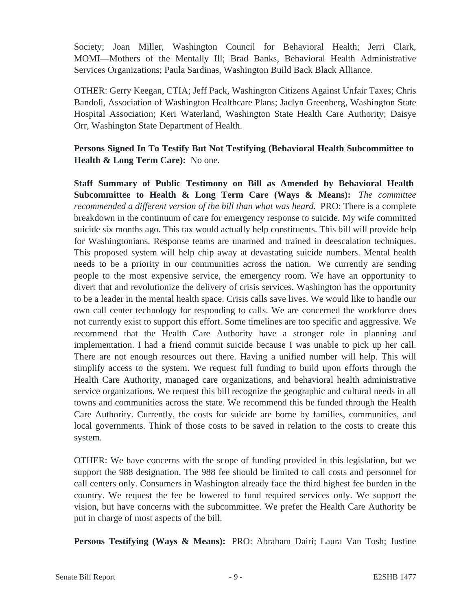Society; Joan Miller, Washington Council for Behavioral Health; Jerri Clark, MOMI—Mothers of the Mentally Ill; Brad Banks, Behavioral Health Administrative Services Organizations; Paula Sardinas, Washington Build Back Black Alliance.

OTHER: Gerry Keegan, CTIA; Jeff Pack, Washington Citizens Against Unfair Taxes; Chris Bandoli, Association of Washington Healthcare Plans; Jaclyn Greenberg, Washington State Hospital Association; Keri Waterland, Washington State Health Care Authority; Daisye Orr, Washington State Department of Health.

# **Persons Signed In To Testify But Not Testifying (Behavioral Health Subcommittee to Health & Long Term Care):** No one.

**Staff Summary of Public Testimony on Bill as Amended by Behavioral Health Subcommittee to Health & Long Term Care (Ways & Means):** *The committee recommended a different version of the bill than what was heard.* PRO: There is a complete breakdown in the continuum of care for emergency response to suicide. My wife committed suicide six months ago. This tax would actually help constituents. This bill will provide help for Washingtonians. Response teams are unarmed and trained in deescalation techniques. This proposed system will help chip away at devastating suicide numbers. Mental health needs to be a priority in our communities across the nation. We currently are sending people to the most expensive service, the emergency room. We have an opportunity to divert that and revolutionize the delivery of crisis services. Washington has the opportunity to be a leader in the mental health space. Crisis calls save lives. We would like to handle our own call center technology for responding to calls. We are concerned the workforce does not currently exist to support this effort. Some timelines are too specific and aggressive. We recommend that the Health Care Authority have a stronger role in planning and implementation. I had a friend commit suicide because I was unable to pick up her call. There are not enough resources out there. Having a unified number will help. This will simplify access to the system. We request full funding to build upon efforts through the Health Care Authority, managed care organizations, and behavioral health administrative service organizations. We request this bill recognize the geographic and cultural needs in all towns and communities across the state. We recommend this be funded through the Health Care Authority. Currently, the costs for suicide are borne by families, communities, and local governments. Think of those costs to be saved in relation to the costs to create this system.

OTHER: We have concerns with the scope of funding provided in this legislation, but we support the 988 designation. The 988 fee should be limited to call costs and personnel for call centers only. Consumers in Washington already face the third highest fee burden in the country. We request the fee be lowered to fund required services only. We support the vision, but have concerns with the subcommittee. We prefer the Health Care Authority be put in charge of most aspects of the bill.

**Persons Testifying (Ways & Means):** PRO: Abraham Dairi; Laura Van Tosh; Justine